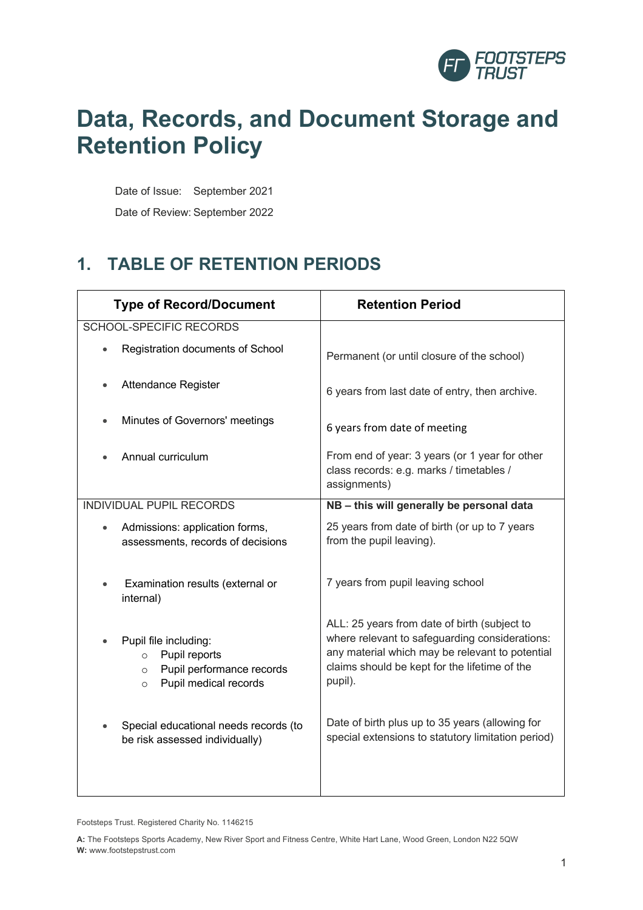

# **Data, Records, and Document Storage and Retention Policy**

Date of Issue: September 2021

Date of Review: September 2022

## **1. TABLE OF RETENTION PERIODS**

| <b>Type of Record/Document</b>                                                                                                 | <b>Retention Period</b>                                                                                                                                                                                       |
|--------------------------------------------------------------------------------------------------------------------------------|---------------------------------------------------------------------------------------------------------------------------------------------------------------------------------------------------------------|
| SCHOOL-SPECIFIC RECORDS                                                                                                        |                                                                                                                                                                                                               |
| Registration documents of School                                                                                               | Permanent (or until closure of the school)                                                                                                                                                                    |
| <b>Attendance Register</b>                                                                                                     | 6 years from last date of entry, then archive.                                                                                                                                                                |
| Minutes of Governors' meetings                                                                                                 | 6 years from date of meeting                                                                                                                                                                                  |
| Annual curriculum                                                                                                              | From end of year: 3 years (or 1 year for other<br>class records: e.g. marks / timetables /<br>assignments)                                                                                                    |
| <b>INDIVIDUAL PUPIL RECORDS</b>                                                                                                | NB - this will generally be personal data                                                                                                                                                                     |
| Admissions: application forms,<br>assessments, records of decisions                                                            | 25 years from date of birth (or up to 7 years<br>from the pupil leaving).                                                                                                                                     |
| Examination results (external or<br>internal)                                                                                  | 7 years from pupil leaving school                                                                                                                                                                             |
| Pupil file including:<br>Pupil reports<br>$\Omega$<br>Pupil performance records<br>$\circ$<br>Pupil medical records<br>$\circ$ | ALL: 25 years from date of birth (subject to<br>where relevant to safeguarding considerations:<br>any material which may be relevant to potential<br>claims should be kept for the lifetime of the<br>pupil). |
| Special educational needs records (to<br>be risk assessed individually)                                                        | Date of birth plus up to 35 years (allowing for<br>special extensions to statutory limitation period)                                                                                                         |

Footsteps Trust. Registered Charity No. 1146215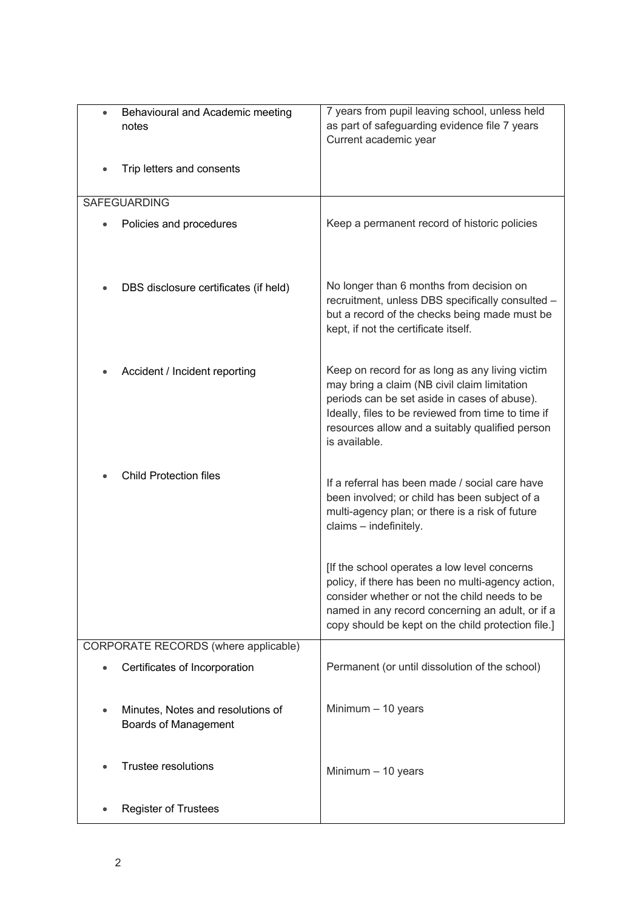| $\bullet$                            | Behavioural and Academic meeting      | 7 years from pupil leaving school, unless held                                                        |
|--------------------------------------|---------------------------------------|-------------------------------------------------------------------------------------------------------|
|                                      | notes                                 | as part of safeguarding evidence file 7 years                                                         |
|                                      |                                       | Current academic year                                                                                 |
|                                      | Trip letters and consents             |                                                                                                       |
|                                      |                                       |                                                                                                       |
|                                      | <b>SAFEGUARDING</b>                   |                                                                                                       |
|                                      | Policies and procedures               | Keep a permanent record of historic policies                                                          |
|                                      |                                       |                                                                                                       |
|                                      |                                       |                                                                                                       |
|                                      |                                       |                                                                                                       |
|                                      | DBS disclosure certificates (if held) | No longer than 6 months from decision on<br>recruitment, unless DBS specifically consulted -          |
|                                      |                                       | but a record of the checks being made must be                                                         |
|                                      |                                       | kept, if not the certificate itself.                                                                  |
|                                      |                                       |                                                                                                       |
|                                      | Accident / Incident reporting         | Keep on record for as long as any living victim                                                       |
|                                      |                                       | may bring a claim (NB civil claim limitation                                                          |
|                                      |                                       | periods can be set aside in cases of abuse).                                                          |
|                                      |                                       | Ideally, files to be reviewed from time to time if<br>resources allow and a suitably qualified person |
|                                      |                                       | is available.                                                                                         |
|                                      |                                       |                                                                                                       |
|                                      | <b>Child Protection files</b>         | If a referral has been made / social care have                                                        |
|                                      |                                       | been involved; or child has been subject of a                                                         |
|                                      |                                       | multi-agency plan; or there is a risk of future                                                       |
|                                      |                                       | claims - indefinitely.                                                                                |
|                                      |                                       |                                                                                                       |
|                                      |                                       | [If the school operates a low level concerns                                                          |
|                                      |                                       | policy, if there has been no multi-agency action,                                                     |
|                                      |                                       | consider whether or not the child needs to be<br>named in any record concerning an adult, or if a     |
|                                      |                                       | copy should be kept on the child protection file.]                                                    |
| CORPORATE RECORDS (where applicable) |                                       |                                                                                                       |
|                                      | Certificates of Incorporation         | Permanent (or until dissolution of the school)                                                        |
|                                      |                                       |                                                                                                       |
|                                      | Minutes, Notes and resolutions of     | Minimum $-10$ years                                                                                   |
| ٠                                    | <b>Boards of Management</b>           |                                                                                                       |
|                                      |                                       |                                                                                                       |
|                                      |                                       |                                                                                                       |
|                                      | <b>Trustee resolutions</b>            | Minimum $-10$ years                                                                                   |
|                                      |                                       |                                                                                                       |
|                                      | <b>Register of Trustees</b>           |                                                                                                       |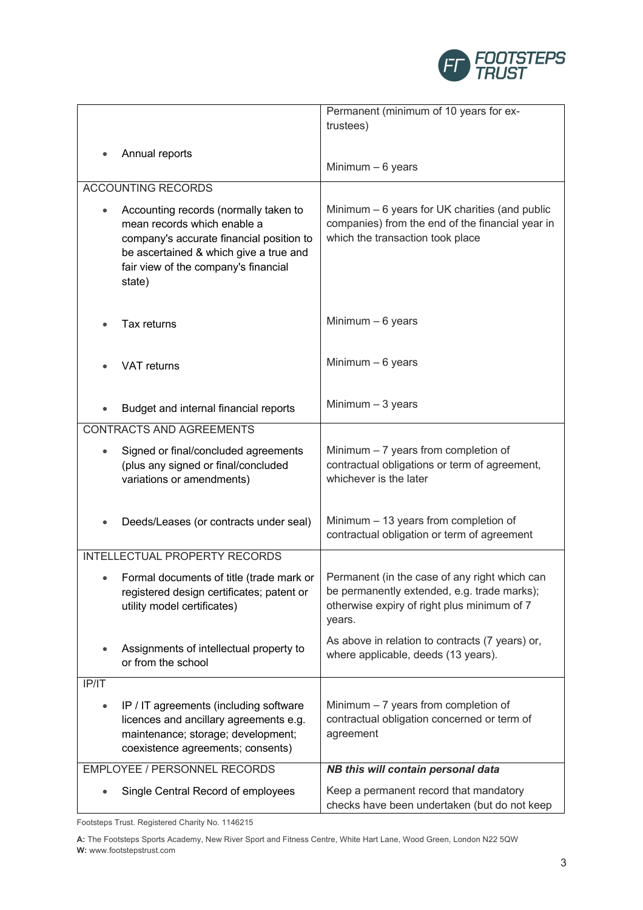

|           |                                                                                                                                                                                                              | Permanent (minimum of 10 years for ex-                                                                                                                |
|-----------|--------------------------------------------------------------------------------------------------------------------------------------------------------------------------------------------------------------|-------------------------------------------------------------------------------------------------------------------------------------------------------|
|           |                                                                                                                                                                                                              | trustees)                                                                                                                                             |
|           |                                                                                                                                                                                                              |                                                                                                                                                       |
|           | Annual reports                                                                                                                                                                                               | Minimum $-6$ years                                                                                                                                    |
|           | <b>ACCOUNTING RECORDS</b>                                                                                                                                                                                    |                                                                                                                                                       |
|           |                                                                                                                                                                                                              |                                                                                                                                                       |
|           | Accounting records (normally taken to<br>mean records which enable a<br>company's accurate financial position to<br>be ascertained & which give a true and<br>fair view of the company's financial<br>state) | Minimum - 6 years for UK charities (and public<br>companies) from the end of the financial year in<br>which the transaction took place                |
|           | Tax returns                                                                                                                                                                                                  | Minimum $-6$ years                                                                                                                                    |
|           | <b>VAT returns</b>                                                                                                                                                                                           | Minimum $-6$ years                                                                                                                                    |
|           | Budget and internal financial reports                                                                                                                                                                        | Minimum $-3$ years                                                                                                                                    |
|           | <b>CONTRACTS AND AGREEMENTS</b>                                                                                                                                                                              |                                                                                                                                                       |
| $\bullet$ | Signed or final/concluded agreements<br>(plus any signed or final/concluded<br>variations or amendments)                                                                                                     | Minimum $-7$ years from completion of<br>contractual obligations or term of agreement,<br>whichever is the later                                      |
|           | Deeds/Leases (or contracts under seal)                                                                                                                                                                       | Minimum - 13 years from completion of<br>contractual obligation or term of agreement                                                                  |
|           | <b>INTELLECTUAL PROPERTY RECORDS</b>                                                                                                                                                                         |                                                                                                                                                       |
|           | Formal documents of title (trade mark or<br>registered design certificates; patent or<br>utility model certificates)                                                                                         | Permanent (in the case of any right which can<br>be permanently extended, e.g. trade marks);<br>otherwise expiry of right plus minimum of 7<br>years. |
|           | Assignments of intellectual property to<br>or from the school                                                                                                                                                | As above in relation to contracts (7 years) or,<br>where applicable, deeds (13 years).                                                                |
| IP/IT     |                                                                                                                                                                                                              |                                                                                                                                                       |
| $\bullet$ | IP / IT agreements (including software<br>licences and ancillary agreements e.g.<br>maintenance; storage; development;<br>coexistence agreements; consents)                                                  | Minimum $-7$ years from completion of<br>contractual obligation concerned or term of<br>agreement                                                     |
|           | <b>EMPLOYEE / PERSONNEL RECORDS</b>                                                                                                                                                                          | NB this will contain personal data                                                                                                                    |
|           | Single Central Record of employees                                                                                                                                                                           | Keep a permanent record that mandatory<br>checks have been undertaken (but do not keep                                                                |

Footsteps Trust. Registered Charity No. 1146215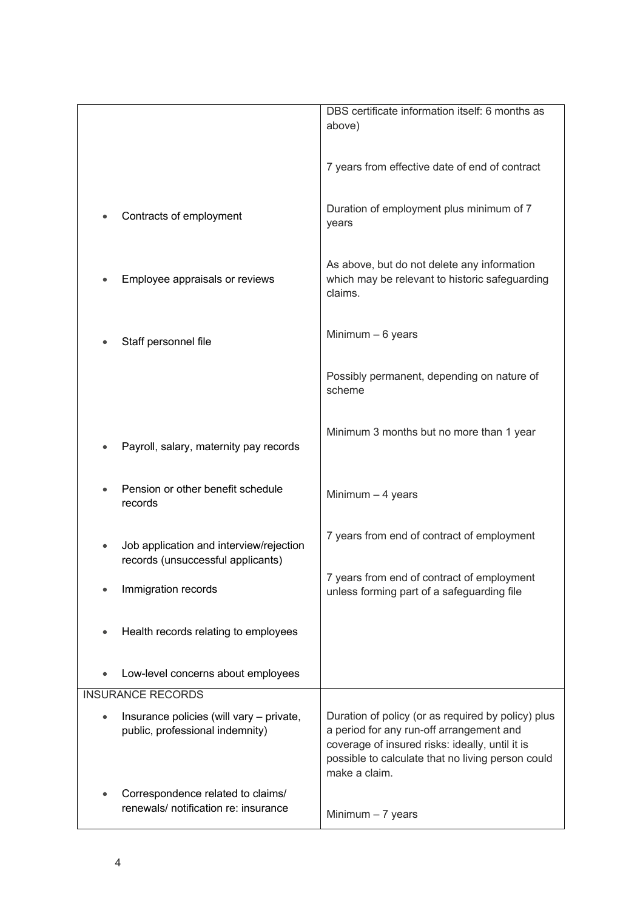|                                                                              | DBS certificate information itself: 6 months as<br>above)                                                                                                                                                               |
|------------------------------------------------------------------------------|-------------------------------------------------------------------------------------------------------------------------------------------------------------------------------------------------------------------------|
|                                                                              | 7 years from effective date of end of contract                                                                                                                                                                          |
| Contracts of employment                                                      | Duration of employment plus minimum of 7<br>years                                                                                                                                                                       |
| Employee appraisals or reviews                                               | As above, but do not delete any information<br>which may be relevant to historic safeguarding<br>claims.                                                                                                                |
| Staff personnel file                                                         | Minimum $-6$ years                                                                                                                                                                                                      |
|                                                                              | Possibly permanent, depending on nature of<br>scheme                                                                                                                                                                    |
| Payroll, salary, maternity pay records                                       | Minimum 3 months but no more than 1 year                                                                                                                                                                                |
| Pension or other benefit schedule<br>records                                 | Minimum $-4$ years                                                                                                                                                                                                      |
| Job application and interview/rejection<br>records (unsuccessful applicants) | 7 years from end of contract of employment                                                                                                                                                                              |
| Immigration records                                                          | 7 years from end of contract of employment<br>unless forming part of a safeguarding file                                                                                                                                |
| Health records relating to employees                                         |                                                                                                                                                                                                                         |
| Low-level concerns about employees                                           |                                                                                                                                                                                                                         |
| <b>INSURANCE RECORDS</b>                                                     |                                                                                                                                                                                                                         |
| Insurance policies (will vary - private,<br>public, professional indemnity)  | Duration of policy (or as required by policy) plus<br>a period for any run-off arrangement and<br>coverage of insured risks: ideally, until it is<br>possible to calculate that no living person could<br>make a claim. |
| Correspondence related to claims/<br>renewals/ notification re: insurance    | Minimum $-7$ years                                                                                                                                                                                                      |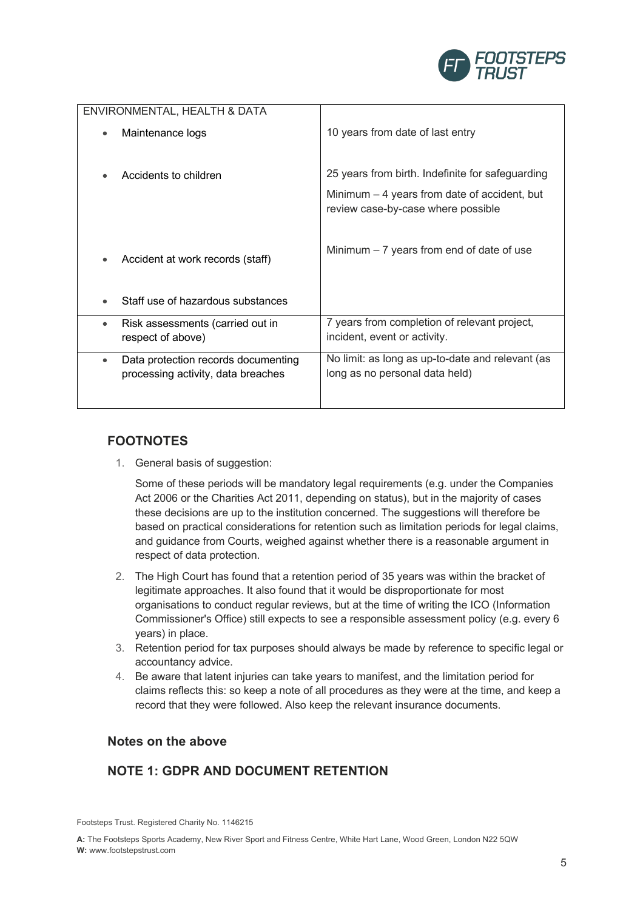

|           | ENVIRONMENTAL, HEALTH & DATA                                              |                                                                                     |
|-----------|---------------------------------------------------------------------------|-------------------------------------------------------------------------------------|
|           | Maintenance logs                                                          | 10 years from date of last entry                                                    |
|           | Accidents to children                                                     | 25 years from birth. Indefinite for safeguarding                                    |
|           |                                                                           | Minimum $-4$ years from date of accident, but<br>review case-by-case where possible |
|           |                                                                           |                                                                                     |
|           | Accident at work records (staff)                                          | Minimum $-7$ years from end of date of use                                          |
|           |                                                                           |                                                                                     |
|           | Staff use of hazardous substances                                         |                                                                                     |
| $\bullet$ | Risk assessments (carried out in<br>respect of above)                     | 7 years from completion of relevant project,<br>incident, event or activity.        |
| $\bullet$ | Data protection records documenting<br>processing activity, data breaches | No limit: as long as up-to-date and relevant (as<br>long as no personal data held)  |
|           |                                                                           |                                                                                     |

## **FOOTNOTES**

1. General basis of suggestion:

Some of these periods will be mandatory legal requirements (e.g. under the Companies Act 2006 or the Charities Act 2011, depending on status), but in the majority of cases these decisions are up to the institution concerned. The suggestions will therefore be based on practical considerations for retention such as limitation periods for legal claims, and guidance from Courts, weighed against whether there is a reasonable argument in respect of data protection.

- 2. The High Court has found that a retention period of 35 years was within the bracket of legitimate approaches. It also found that it would be disproportionate for most organisations to conduct regular reviews, but at the time of writing the ICO (Information Commissioner's Office) still expects to see a responsible assessment policy (e.g. every 6 years) in place.
- 3. Retention period for tax purposes should always be made by reference to specific legal or accountancy advice.
- 4. Be aware that latent injuries can take years to manifest, and the limitation period for claims reflects this: so keep a note of all procedures as they were at the time, and keep a record that they were followed. Also keep the relevant insurance documents.

## **Notes on the above**

## **NOTE 1: GDPR AND DOCUMENT RETENTION**

Footsteps Trust. Registered Charity No. 1146215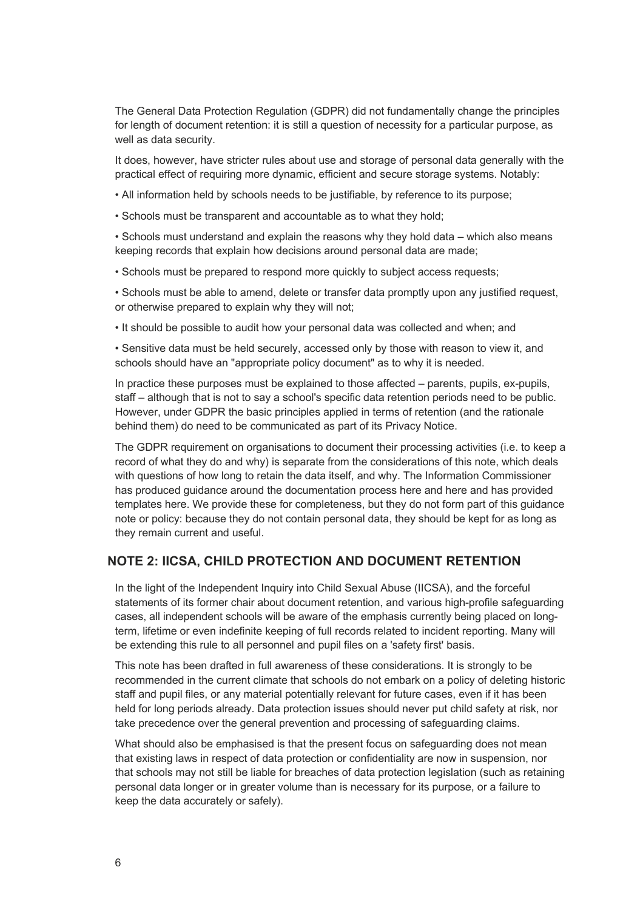The General Data Protection Regulation (GDPR) did not fundamentally change the principles for length of document retention: it is still a question of necessity for a particular purpose, as well as data security.

It does, however, have stricter rules about use and storage of personal data generally with the practical effect of requiring more dynamic, efficient and secure storage systems. Notably:

• All information held by schools needs to be justifiable, by reference to its purpose;

• Schools must be transparent and accountable as to what they hold;

• Schools must understand and explain the reasons why they hold data – which also means keeping records that explain how decisions around personal data are made;

• Schools must be prepared to respond more quickly to subject access requests;

• Schools must be able to amend, delete or transfer data promptly upon any justified request, or otherwise prepared to explain why they will not;

• It should be possible to audit how your personal data was collected and when; and

• Sensitive data must be held securely, accessed only by those with reason to view it, and schools should have an "appropriate policy document" as to why it is needed.

In practice these purposes must be explained to those affected – parents, pupils, ex-pupils, staff – although that is not to say a school's specific data retention periods need to be public. However, under GDPR the basic principles applied in terms of retention (and the rationale behind them) do need to be communicated as part of its Privacy Notice.

The GDPR requirement on organisations to document their processing activities (i.e. to keep a record of what they do and why) is separate from the considerations of this note, which deals with questions of how long to retain the data itself, and why. The Information Commissioner has produced guidance around the documentation process here and here and has provided templates here. We provide these for completeness, but they do not form part of this guidance note or policy: because they do not contain personal data, they should be kept for as long as they remain current and useful.

### **NOTE 2: IICSA, CHILD PROTECTION AND DOCUMENT RETENTION**

In the light of the Independent Inquiry into Child Sexual Abuse (IICSA), and the forceful statements of its former chair about document retention, and various high-profile safeguarding cases, all independent schools will be aware of the emphasis currently being placed on longterm, lifetime or even indefinite keeping of full records related to incident reporting. Many will be extending this rule to all personnel and pupil files on a 'safety first' basis.

This note has been drafted in full awareness of these considerations. It is strongly to be recommended in the current climate that schools do not embark on a policy of deleting historic staff and pupil files, or any material potentially relevant for future cases, even if it has been held for long periods already. Data protection issues should never put child safety at risk, nor take precedence over the general prevention and processing of safeguarding claims.

What should also be emphasised is that the present focus on safeguarding does not mean that existing laws in respect of data protection or confidentiality are now in suspension, nor that schools may not still be liable for breaches of data protection legislation (such as retaining personal data longer or in greater volume than is necessary for its purpose, or a failure to keep the data accurately or safely).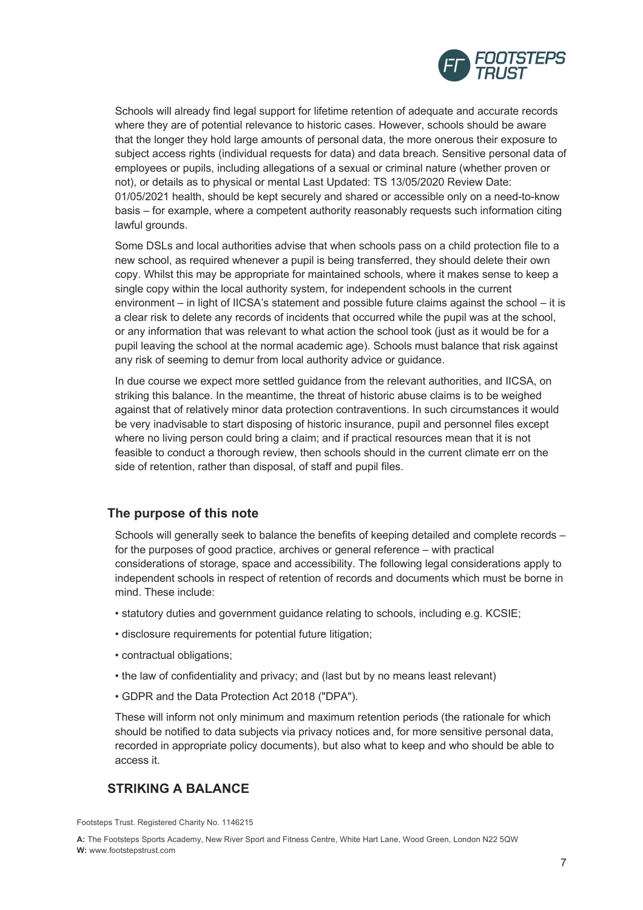

Schools will already find legal support for lifetime retention of adequate and accurate records where they are of potential relevance to historic cases. However, schools should be aware that the longer they hold large amounts of personal data, the more onerous their exposure to subject access rights (individual requests for data) and data breach. Sensitive personal data of employees or pupils, including allegations of a sexual or criminal nature (whether proven or not), or details as to physical or mental Last Updated: TS 13/05/2020 Review Date: 01/05/2021 health, should be kept securely and shared or accessible only on a need-to-know basis – for example, where a competent authority reasonably requests such information citing lawful grounds.

Some DSLs and local authorities advise that when schools pass on a child protection file to a new school, as required whenever a pupil is being transferred, they should delete their own copy. Whilst this may be appropriate for maintained schools, where it makes sense to keep a single copy within the local authority system, for independent schools in the current environment – in light of IICSA's statement and possible future claims against the school – it is a clear risk to delete any records of incidents that occurred while the pupil was at the school, or any information that was relevant to what action the school took (just as it would be for a pupil leaving the school at the normal academic age). Schools must balance that risk against any risk of seeming to demur from local authority advice or guidance.

In due course we expect more settled guidance from the relevant authorities, and IICSA, on striking this balance. In the meantime, the threat of historic abuse claims is to be weighed against that of relatively minor data protection contraventions. In such circumstances it would be very inadvisable to start disposing of historic insurance, pupil and personnel files except where no living person could bring a claim; and if practical resources mean that it is not feasible to conduct a thorough review, then schools should in the current climate err on the side of retention, rather than disposal, of staff and pupil files.

## **The purpose of this note**

Schools will generally seek to balance the benefits of keeping detailed and complete records – for the purposes of good practice, archives or general reference – with practical considerations of storage, space and accessibility. The following legal considerations apply to independent schools in respect of retention of records and documents which must be borne in mind. These include:

- statutory duties and government guidance relating to schools, including e.g. KCSIE;
- disclosure requirements for potential future litigation;
- contractual obligations;
- the law of confidentiality and privacy; and (last but by no means least relevant)
- GDPR and the Data Protection Act 2018 ("DPA").

These will inform not only minimum and maximum retention periods (the rationale for which should be notified to data subjects via privacy notices and, for more sensitive personal data, recorded in appropriate policy documents), but also what to keep and who should be able to access it.

## **STRIKING A BALANCE**

Footsteps Trust. Registered Charity No. 1146215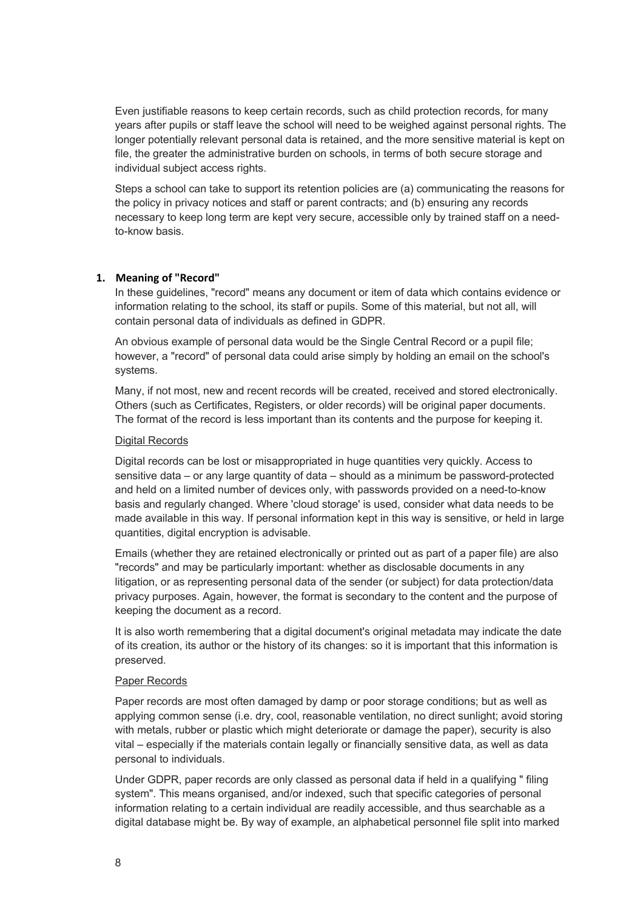Even justifiable reasons to keep certain records, such as child protection records, for many years after pupils or staff leave the school will need to be weighed against personal rights. The longer potentially relevant personal data is retained, and the more sensitive material is kept on file, the greater the administrative burden on schools, in terms of both secure storage and individual subject access rights.

Steps a school can take to support its retention policies are (a) communicating the reasons for the policy in privacy notices and staff or parent contracts; and (b) ensuring any records necessary to keep long term are kept very secure, accessible only by trained staff on a needto-know basis.

#### **1. Meaning of "Record"**

In these guidelines, "record" means any document or item of data which contains evidence or information relating to the school, its staff or pupils. Some of this material, but not all, will contain personal data of individuals as defined in GDPR.

An obvious example of personal data would be the Single Central Record or a pupil file; however, a "record" of personal data could arise simply by holding an email on the school's systems.

Many, if not most, new and recent records will be created, received and stored electronically. Others (such as Certificates, Registers, or older records) will be original paper documents. The format of the record is less important than its contents and the purpose for keeping it.

#### Digital Records

Digital records can be lost or misappropriated in huge quantities very quickly. Access to sensitive data – or any large quantity of data – should as a minimum be password-protected and held on a limited number of devices only, with passwords provided on a need-to-know basis and regularly changed. Where 'cloud storage' is used, consider what data needs to be made available in this way. If personal information kept in this way is sensitive, or held in large quantities, digital encryption is advisable.

Emails (whether they are retained electronically or printed out as part of a paper file) are also "records" and may be particularly important: whether as disclosable documents in any litigation, or as representing personal data of the sender (or subject) for data protection/data privacy purposes. Again, however, the format is secondary to the content and the purpose of keeping the document as a record.

It is also worth remembering that a digital document's original metadata may indicate the date of its creation, its author or the history of its changes: so it is important that this information is preserved.

#### Paper Records

Paper records are most often damaged by damp or poor storage conditions; but as well as applying common sense (i.e. dry, cool, reasonable ventilation, no direct sunlight; avoid storing with metals, rubber or plastic which might deteriorate or damage the paper), security is also vital – especially if the materials contain legally or financially sensitive data, as well as data personal to individuals.

Under GDPR, paper records are only classed as personal data if held in a qualifying " filing system". This means organised, and/or indexed, such that specific categories of personal information relating to a certain individual are readily accessible, and thus searchable as a digital database might be. By way of example, an alphabetical personnel file split into marked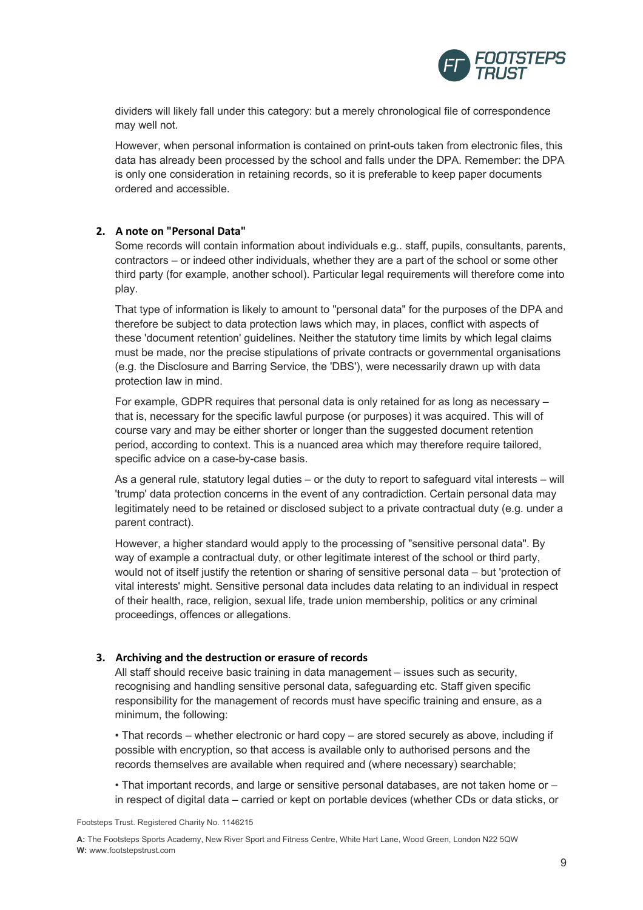

dividers will likely fall under this category: but a merely chronological file of correspondence may well not.

However, when personal information is contained on print-outs taken from electronic files, this data has already been processed by the school and falls under the DPA. Remember: the DPA is only one consideration in retaining records, so it is preferable to keep paper documents ordered and accessible.

#### **2. A note on "Personal Data"**

Some records will contain information about individuals e.g.. staff, pupils, consultants, parents, contractors – or indeed other individuals, whether they are a part of the school or some other third party (for example, another school). Particular legal requirements will therefore come into play.

That type of information is likely to amount to "personal data" for the purposes of the DPA and therefore be subject to data protection laws which may, in places, conflict with aspects of these 'document retention' guidelines. Neither the statutory time limits by which legal claims must be made, nor the precise stipulations of private contracts or governmental organisations (e.g. the Disclosure and Barring Service, the 'DBS'), were necessarily drawn up with data protection law in mind.

For example, GDPR requires that personal data is only retained for as long as necessary – that is, necessary for the specific lawful purpose (or purposes) it was acquired. This will of course vary and may be either shorter or longer than the suggested document retention period, according to context. This is a nuanced area which may therefore require tailored, specific advice on a case-by-case basis.

As a general rule, statutory legal duties – or the duty to report to safeguard vital interests – will 'trump' data protection concerns in the event of any contradiction. Certain personal data may legitimately need to be retained or disclosed subject to a private contractual duty (e.g. under a parent contract).

However, a higher standard would apply to the processing of "sensitive personal data". By way of example a contractual duty, or other legitimate interest of the school or third party, would not of itself justify the retention or sharing of sensitive personal data – but 'protection of vital interests' might. Sensitive personal data includes data relating to an individual in respect of their health, race, religion, sexual life, trade union membership, politics or any criminal proceedings, offences or allegations.

#### **3. Archiving and the destruction or erasure of records**

All staff should receive basic training in data management – issues such as security, recognising and handling sensitive personal data, safeguarding etc. Staff given specific responsibility for the management of records must have specific training and ensure, as a minimum, the following:

• That records – whether electronic or hard copy – are stored securely as above, including if possible with encryption, so that access is available only to authorised persons and the records themselves are available when required and (where necessary) searchable;

• That important records, and large or sensitive personal databases, are not taken home or – in respect of digital data – carried or kept on portable devices (whether CDs or data sticks, or

Footsteps Trust. Registered Charity No. 1146215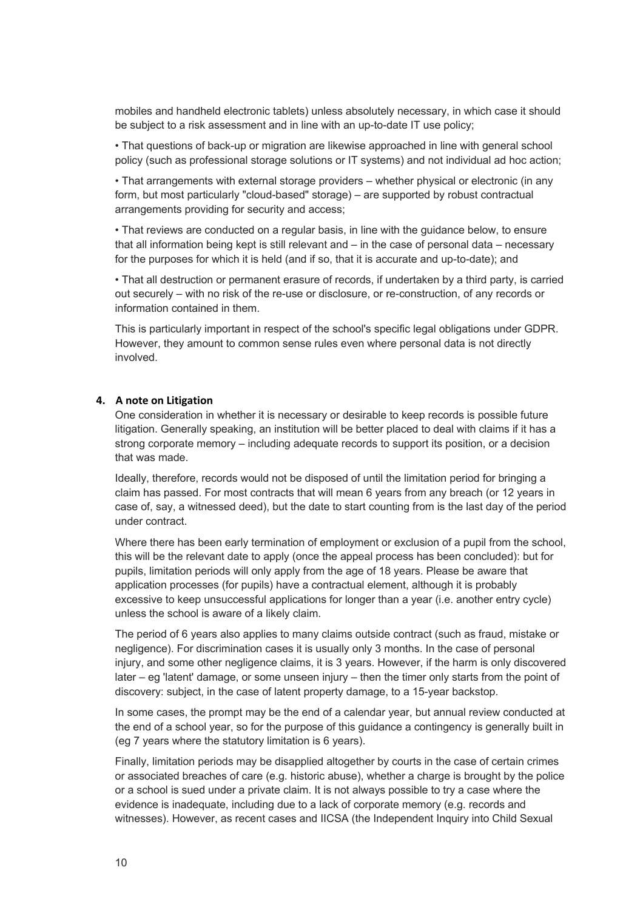mobiles and handheld electronic tablets) unless absolutely necessary, in which case it should be subject to a risk assessment and in line with an up-to-date IT use policy;

• That questions of back-up or migration are likewise approached in line with general school policy (such as professional storage solutions or IT systems) and not individual ad hoc action;

• That arrangements with external storage providers – whether physical or electronic (in any form, but most particularly "cloud-based" storage) – are supported by robust contractual arrangements providing for security and access;

• That reviews are conducted on a regular basis, in line with the guidance below, to ensure that all information being kept is still relevant and – in the case of personal data – necessary for the purposes for which it is held (and if so, that it is accurate and up-to-date); and

• That all destruction or permanent erasure of records, if undertaken by a third party, is carried out securely – with no risk of the re-use or disclosure, or re-construction, of any records or information contained in them.

This is particularly important in respect of the school's specific legal obligations under GDPR. However, they amount to common sense rules even where personal data is not directly involved.

#### **4. A note on Litigation**

One consideration in whether it is necessary or desirable to keep records is possible future litigation. Generally speaking, an institution will be better placed to deal with claims if it has a strong corporate memory – including adequate records to support its position, or a decision that was made.

Ideally, therefore, records would not be disposed of until the limitation period for bringing a claim has passed. For most contracts that will mean 6 years from any breach (or 12 years in case of, say, a witnessed deed), but the date to start counting from is the last day of the period under contract.

Where there has been early termination of employment or exclusion of a pupil from the school, this will be the relevant date to apply (once the appeal process has been concluded): but for pupils, limitation periods will only apply from the age of 18 years. Please be aware that application processes (for pupils) have a contractual element, although it is probably excessive to keep unsuccessful applications for longer than a year (i.e. another entry cycle) unless the school is aware of a likely claim.

The period of 6 years also applies to many claims outside contract (such as fraud, mistake or negligence). For discrimination cases it is usually only 3 months. In the case of personal injury, and some other negligence claims, it is 3 years. However, if the harm is only discovered later – eg 'latent' damage, or some unseen injury – then the timer only starts from the point of discovery: subject, in the case of latent property damage, to a 15-year backstop.

In some cases, the prompt may be the end of a calendar year, but annual review conducted at the end of a school year, so for the purpose of this guidance a contingency is generally built in (eg 7 years where the statutory limitation is 6 years).

Finally, limitation periods may be disapplied altogether by courts in the case of certain crimes or associated breaches of care (e.g. historic abuse), whether a charge is brought by the police or a school is sued under a private claim. It is not always possible to try a case where the evidence is inadequate, including due to a lack of corporate memory (e.g. records and witnesses). However, as recent cases and IICSA (the Independent Inquiry into Child Sexual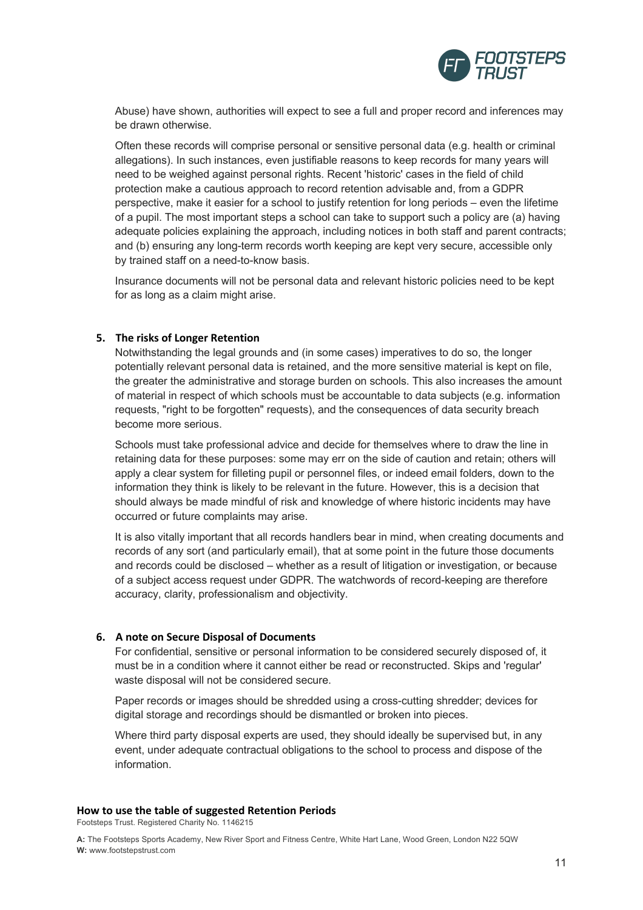

Abuse) have shown, authorities will expect to see a full and proper record and inferences may be drawn otherwise.

Often these records will comprise personal or sensitive personal data (e.g. health or criminal allegations). In such instances, even justifiable reasons to keep records for many years will need to be weighed against personal rights. Recent 'historic' cases in the field of child protection make a cautious approach to record retention advisable and, from a GDPR perspective, make it easier for a school to justify retention for long periods – even the lifetime of a pupil. The most important steps a school can take to support such a policy are (a) having adequate policies explaining the approach, including notices in both staff and parent contracts; and (b) ensuring any long-term records worth keeping are kept very secure, accessible only by trained staff on a need-to-know basis.

Insurance documents will not be personal data and relevant historic policies need to be kept for as long as a claim might arise.

#### **5. The risks of Longer Retention**

Notwithstanding the legal grounds and (in some cases) imperatives to do so, the longer potentially relevant personal data is retained, and the more sensitive material is kept on file, the greater the administrative and storage burden on schools. This also increases the amount of material in respect of which schools must be accountable to data subjects (e.g. information requests, "right to be forgotten" requests), and the consequences of data security breach become more serious.

Schools must take professional advice and decide for themselves where to draw the line in retaining data for these purposes: some may err on the side of caution and retain; others will apply a clear system for filleting pupil or personnel files, or indeed email folders, down to the information they think is likely to be relevant in the future. However, this is a decision that should always be made mindful of risk and knowledge of where historic incidents may have occurred or future complaints may arise.

It is also vitally important that all records handlers bear in mind, when creating documents and records of any sort (and particularly email), that at some point in the future those documents and records could be disclosed – whether as a result of litigation or investigation, or because of a subject access request under GDPR. The watchwords of record-keeping are therefore accuracy, clarity, professionalism and objectivity.

#### **6. A note on Secure Disposal of Documents**

For confidential, sensitive or personal information to be considered securely disposed of, it must be in a condition where it cannot either be read or reconstructed. Skips and 'regular' waste disposal will not be considered secure.

Paper records or images should be shredded using a cross-cutting shredder; devices for digital storage and recordings should be dismantled or broken into pieces.

Where third party disposal experts are used, they should ideally be supervised but, in any event, under adequate contractual obligations to the school to process and dispose of the information.

#### **How to use the table of suggested Retention Periods**

Footsteps Trust. Registered Charity No. 1146215